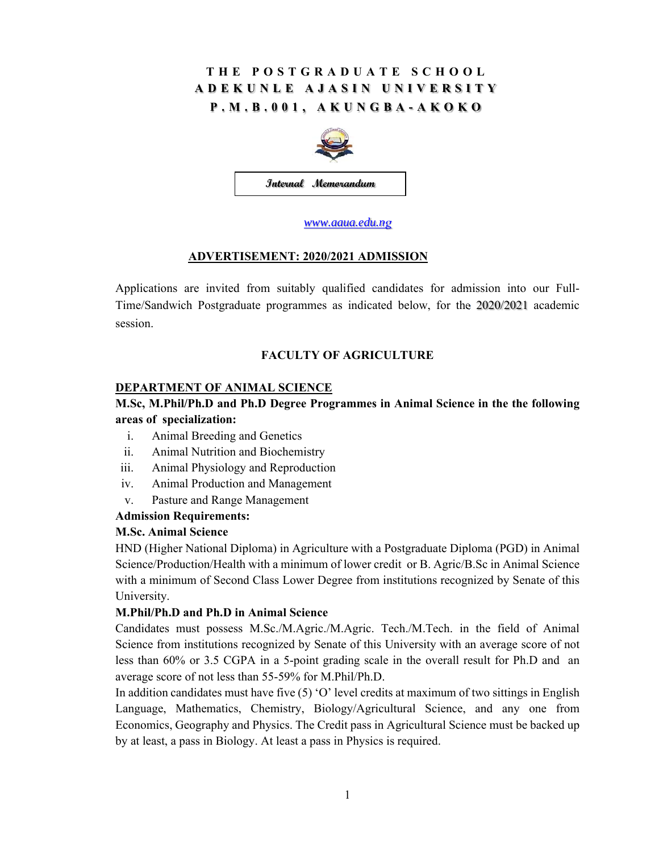## **THE POSTGRADUATE SCHOOL ADEKUNLE AJASIN UNIVERSITY P.M.B.001, AKUNGBA-AKOKO**



*www.aaua.edu.ng*

## **ADVERTISEMENT: 2020/2021 ADMISSION**

Applications are invited from suitably qualified candidates for admission into our Full-Time/Sandwich Postgraduate programmes as indicated below, for the 2020/2021 academic session.

## **FACULTY OF AGRICULTURE**

#### **DEPARTMENT OF ANIMAL SCIENCE**

## **M.Sc, M.Phil/Ph.D and Ph.D Degree Programmes in Animal Science in the the following areas of specialization:**

- i. Animal Breeding and Genetics
- ii. Animal Nutrition and Biochemistry
- iii. Animal Physiology and Reproduction
- iv. Animal Production and Management
- v. Pasture and Range Management

#### **Admission Requirements:**

#### **M.Sc. Animal Science**

HND (Higher National Diploma) in Agriculture with a Postgraduate Diploma (PGD) in Animal Science/Production/Health with a minimum of lower credit or B. Agric/B.Sc in Animal Science with a minimum of Second Class Lower Degree from institutions recognized by Senate of this University.

#### **M.Phil/Ph.D and Ph.D in Animal Science**

Candidates must possess M.Sc./M.Agric./M.Agric. Tech./M.Tech. in the field of Animal Science from institutions recognized by Senate of this University with an average score of not less than 60% or 3.5 CGPA in a 5-point grading scale in the overall result for Ph.D and an average score of not less than 55-59% for M.Phil/Ph.D.

In addition candidates must have five (5) 'O' level credits at maximum of two sittings in English Language, Mathematics, Chemistry, Biology/Agricultural Science, and any one from Economics, Geography and Physics. The Credit pass in Agricultural Science must be backed up by at least, a pass in Biology. At least a pass in Physics is required.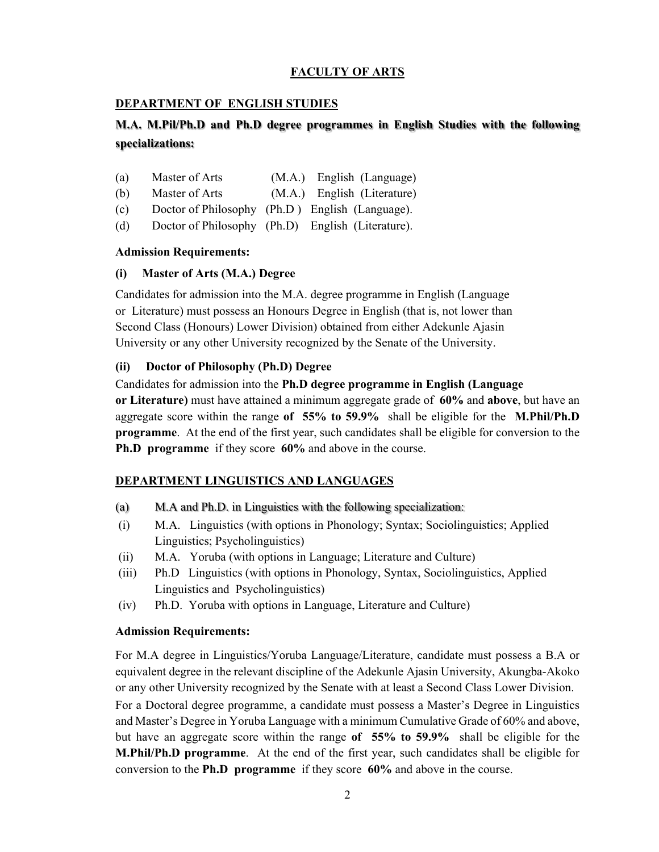## **FACULTY OF ARTS**

#### **DEPARTMENT OF ENGLISH STUDIES**

## **M.A. M.Pil/Ph.D and Ph.D degree programmes in English Studies with the following specializations:**

- (a) Master of Arts (M.A.) English (Language)
- (b) Master of Arts (M.A.) English (Literature)
- (c) Doctor of Philosophy (Ph.D ) English (Language).
- (d) Doctor of Philosophy (Ph.D) English (Literature).

#### **Admission Requirements:**

#### **(i) Master of Arts (M.A.) Degree**

Candidates for admission into the M.A. degree programme in English (Language or Literature) must possess an Honours Degree in English (that is, not lower than Second Class (Honours) Lower Division) obtained from either Adekunle Ajasin University or any other University recognized by the Senate of the University.

#### **(ii) Doctor of Philosophy (Ph.D) Degree**

Candidates for admission into the **Ph.D degree programme in English (Language or Literature)** must have attained a minimum aggregate grade of **60%** and **above**, but have an aggregate score within the range **of 55% to 59.9%** shall be eligible for the **M.Phil/Ph.D programme**. At the end of the first year, such candidates shall be eligible for conversion to the **Ph.D programme** if they score **60%** and above in the course.

## **DEPARTMENT LINGUISTICS AND LANGUAGES**

- (a) M.A and Ph.D. in Linguistics with the following specialization:
- (i) M.A. Linguistics (with options in Phonology; Syntax; Sociolinguistics; Applied Linguistics; Psycholinguistics)
- (ii) M.A. Yoruba (with options in Language; Literature and Culture)
- (iii) Ph.D Linguistics (with options in Phonology, Syntax, Sociolinguistics, Applied Linguistics and Psycholinguistics)
- (iv) Ph.D. Yoruba with options in Language, Literature and Culture)

## **Admission Requirements:**

For M.A degree in Linguistics/Yoruba Language/Literature, candidate must possess a B.A or equivalent degree in the relevant discipline of the Adekunle Ajasin University, Akungba-Akoko or any other University recognized by the Senate with at least a Second Class Lower Division.

For a Doctoral degree programme, a candidate must possess a Master's Degree in Linguistics and Master's Degree in Yoruba Language with a minimum Cumulative Grade of 60% and above, but have an aggregate score within the range **of 55% to 59.9%** shall be eligible for the **M.Phil/Ph.D programme**. At the end of the first year, such candidates shall be eligible for conversion to the **Ph.D programme** if they score **60%** and above in the course.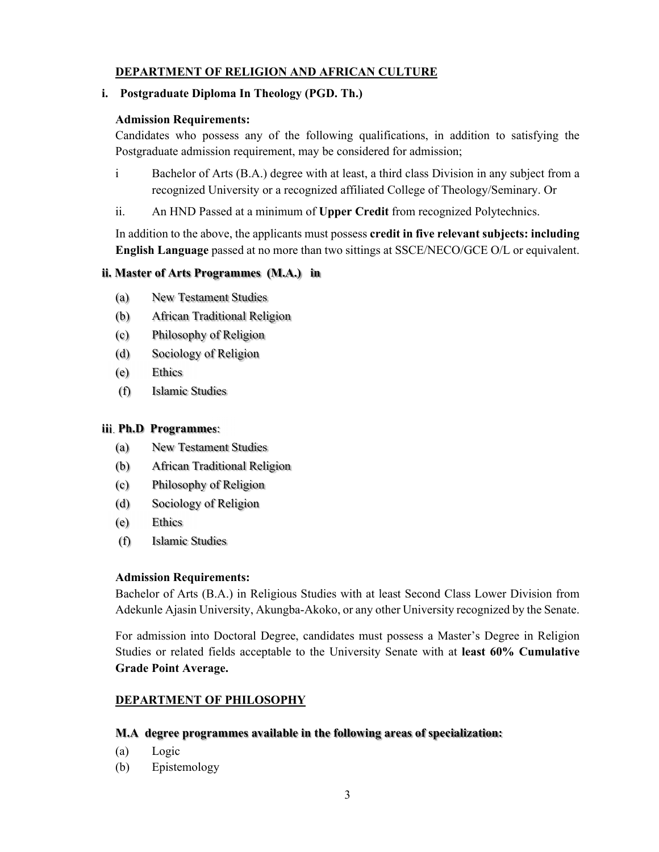## **DEPARTMENT OF RELIGION AND AFRICAN CULTURE**

### **i. Postgraduate Diploma In Theology (PGD. Th.)**

#### **Admission Requirements:**

Candidates who possess any of the following qualifications, in addition to satisfying the Postgraduate admission requirement, may be considered for admission;

- i Bachelor of Arts (B.A.) degree with at least, a third class Division in any subject from a recognized University or a recognized affiliated College of Theology/Seminary. Or
- ii. An HND Passed at a minimum of **Upper Credit** from recognized Polytechnics.

In addition to the above, the applicants must possess **credit in five relevant subjects: including English Language** passed at no more than two sittings at SSCE/NECO/GCE O/L or equivalent.

## **ii. Master of Arts Programmes (M.A.) in**

- (a) New Testament Studies
- (b) African Traditional Religion
- (c) Philosophy of Religion
- (d) Sociology of Religion
- (e) Ethics
- (f) Islamic Studies

#### **iii**. **Ph.D Programmes**:

- (a) New Testament Studies
- (b) African Traditional Religion
- (c) Philosophy of Religion
- (d) Sociology of Religion
- (e) Ethics
- (f) Islamic Studies

#### **Admission Requirements:**

Bachelor of Arts (B.A.) in Religious Studies with at least Second Class Lower Division from Adekunle Ajasin University, Akungba-Akoko, or any other University recognized by the Senate.

For admission into Doctoral Degree, candidates must possess a Master's Degree in Religion Studies or related fields acceptable to the University Senate with at **least 60% Cumulative Grade Point Average.** 

## **DEPARTMENT OF PHILOSOPHY**

#### **M.A degree programmes available in the following areas of specialization:**

- (a) Logic
- (b) Epistemology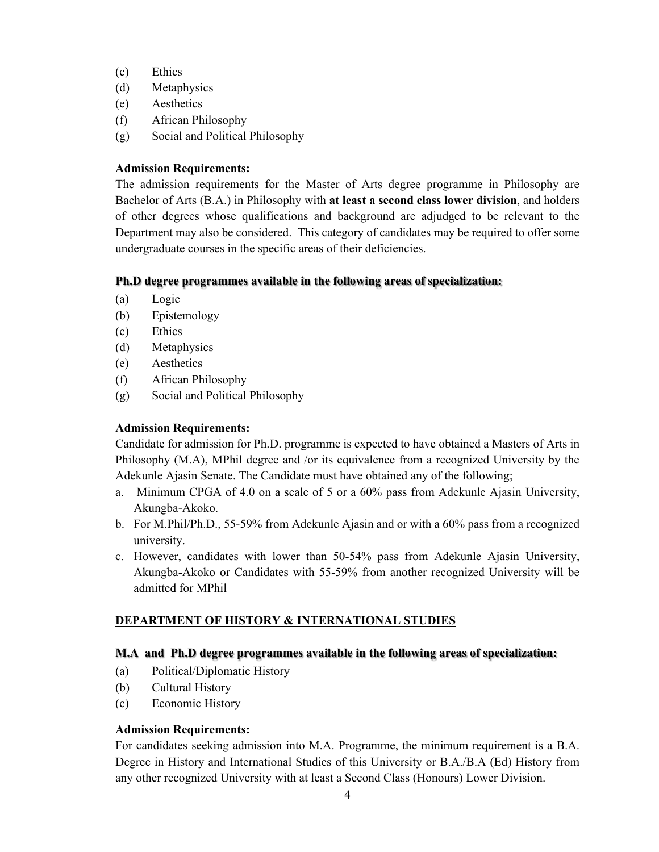- (c) Ethics
- (d) Metaphysics
- (e) Aesthetics
- (f) African Philosophy
- (g) Social and Political Philosophy

The admission requirements for the Master of Arts degree programme in Philosophy are Bachelor of Arts (B.A.) in Philosophy with **at least a second class lower division**, and holders of other degrees whose qualifications and background are adjudged to be relevant to the Department may also be considered. This category of candidates may be required to offer some undergraduate courses in the specific areas of their deficiencies.

## **Ph.D degree programmes available in the following areas of specialization:**

- (a) Logic
- (b) Epistemology
- (c) Ethics
- (d) Metaphysics
- (e) Aesthetics
- (f) African Philosophy
- (g) Social and Political Philosophy

## **Admission Requirements:**

Candidate for admission for Ph.D. programme is expected to have obtained a Masters of Arts in Philosophy (M.A), MPhil degree and /or its equivalence from a recognized University by the Adekunle Ajasin Senate. The Candidate must have obtained any of the following;

- a. Minimum CPGA of 4.0 on a scale of 5 or a 60% pass from Adekunle Ajasin University, Akungba-Akoko.
- b. For M.Phil/Ph.D., 55-59% from Adekunle Ajasin and or with a 60% pass from a recognized university.
- c. However, candidates with lower than 50-54% pass from Adekunle Ajasin University, Akungba-Akoko or Candidates with 55-59% from another recognized University will be admitted for MPhil

## **DEPARTMENT OF HISTORY & INTERNATIONAL STUDIES**

## **M.A and Ph.D degree programmes available in the following areas of specialization:**

- (a) Political/Diplomatic History
- (b) Cultural History
- (c) Economic History

## **Admission Requirements:**

For candidates seeking admission into M.A. Programme, the minimum requirement is a B.A. Degree in History and International Studies of this University or B.A./B.A (Ed) History from any other recognized University with at least a Second Class (Honours) Lower Division.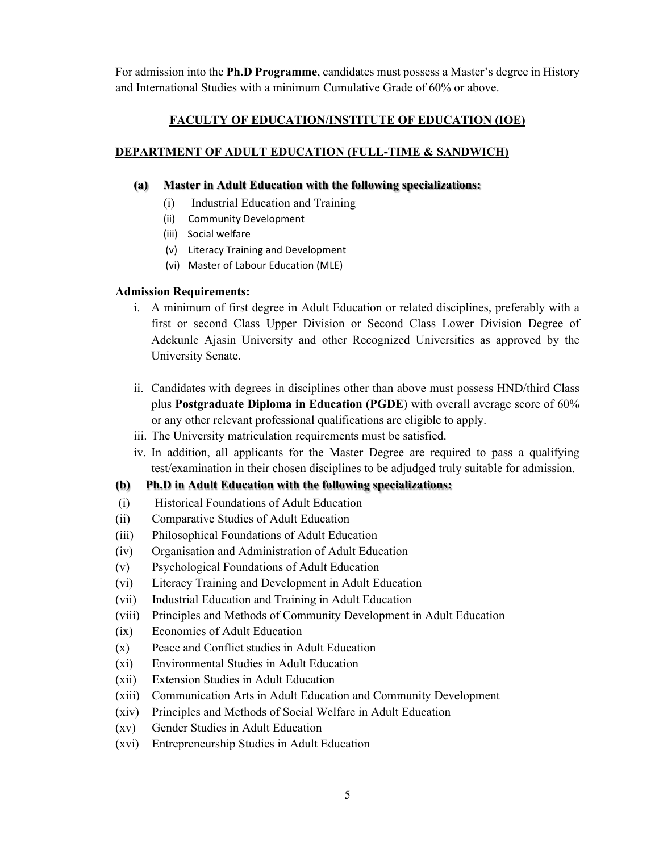For admission into the **Ph.D Programme**, candidates must possess a Master's degree in History and International Studies with a minimum Cumulative Grade of 60% or above.

#### **FACULTY OF EDUCATION/INSTITUTE OF EDUCATION (IOE)**

#### **DEPARTMENT OF ADULT EDUCATION (FULL-TIME & SANDWICH)**

#### **(a) Master in Adult Education with the following specializations:**

- (i) Industrial Education and Training
- (ii) Community Development
- (iii) Social welfare
- (v) Literacy Training and Development
- (vi) Master of Labour Education (MLE)

#### **Admission Requirements:**

- i. A minimum of first degree in Adult Education or related disciplines, preferably with a first or second Class Upper Division or Second Class Lower Division Degree of Adekunle Ajasin University and other Recognized Universities as approved by the University Senate.
- ii. Candidates with degrees in disciplines other than above must possess HND/third Class plus **Postgraduate Diploma in Education (PGDE**) with overall average score of 60% or any other relevant professional qualifications are eligible to apply.
- iii. The University matriculation requirements must be satisfied.
- iv. In addition, all applicants for the Master Degree are required to pass a qualifying test/examination in their chosen disciplines to be adjudged truly suitable for admission.

#### **(b) Ph.D in Adult Education with the following specializations:**

- (i) Historical Foundations of Adult Education
- (ii) Comparative Studies of Adult Education
- (iii) Philosophical Foundations of Adult Education
- (iv) Organisation and Administration of Adult Education
- (v) Psychological Foundations of Adult Education
- (vi) Literacy Training and Development in Adult Education
- (vii) Industrial Education and Training in Adult Education
- (viii) Principles and Methods of Community Development in Adult Education
- (ix) Economics of Adult Education
- (x) Peace and Conflict studies in Adult Education
- (xi) Environmental Studies in Adult Education
- (xii) Extension Studies in Adult Education
- (xiii) Communication Arts in Adult Education and Community Development
- (xiv) Principles and Methods of Social Welfare in Adult Education
- (xv) Gender Studies in Adult Education
- (xvi) Entrepreneurship Studies in Adult Education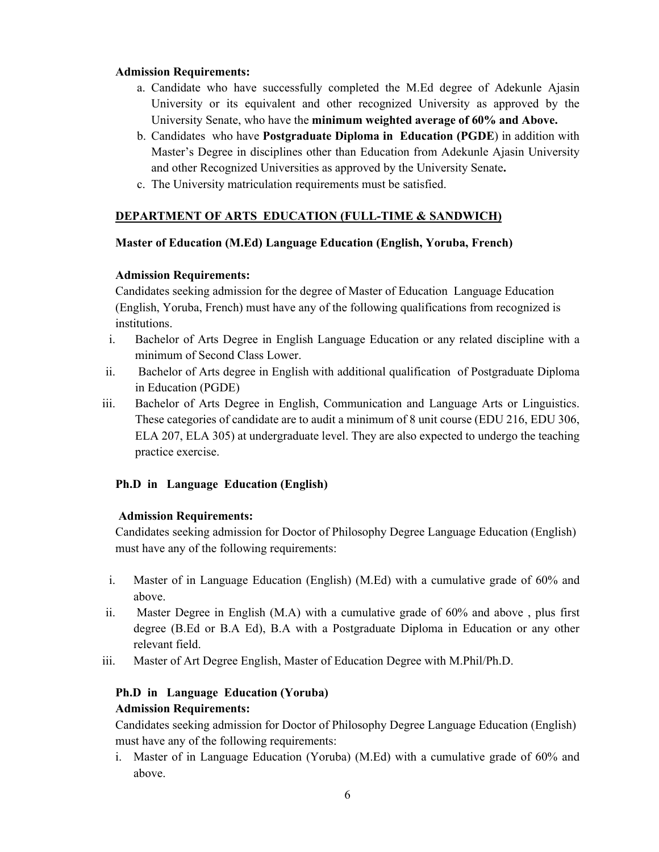- a. Candidate who have successfully completed the M.Ed degree of Adekunle Ajasin University or its equivalent and other recognized University as approved by the University Senate, who have the **minimum weighted average of 60% and Above.**
- b. Candidates who have **Postgraduate Diploma in Education (PGDE**) in addition with Master's Degree in disciplines other than Education from Adekunle Ajasin University and other Recognized Universities as approved by the University Senate**.**
- c. The University matriculation requirements must be satisfied.

## **DEPARTMENT OF ARTS EDUCATION (FULL-TIME & SANDWICH)**

#### **Master of Education (M.Ed) Language Education (English, Yoruba, French)**

#### **Admission Requirements:**

Candidates seeking admission for the degree of Master of Education Language Education (English, Yoruba, French) must have any of the following qualifications from recognized is institutions.

- i. Bachelor of Arts Degree in English Language Education or any related discipline with a minimum of Second Class Lower.
- ii. Bachelor of Arts degree in English with additional qualification of Postgraduate Diploma in Education (PGDE)
- iii. Bachelor of Arts Degree in English, Communication and Language Arts or Linguistics. These categories of candidate are to audit a minimum of 8 unit course (EDU 216, EDU 306, ELA 207, ELA 305) at undergraduate level. They are also expected to undergo the teaching practice exercise.

## **Ph.D in Language Education (English)**

#### **Admission Requirements:**

Candidates seeking admission for Doctor of Philosophy Degree Language Education (English) must have any of the following requirements:

- i. Master of in Language Education (English) (M.Ed) with a cumulative grade of 60% and above.
- ii. Master Degree in English (M.A) with a cumulative grade of 60% and above , plus first degree (B.Ed or B.A Ed), B.A with a Postgraduate Diploma in Education or any other relevant field.
- iii. Master of Art Degree English, Master of Education Degree with M.Phil/Ph.D.

## **Ph.D in Language Education (Yoruba) Admission Requirements:**

Candidates seeking admission for Doctor of Philosophy Degree Language Education (English) must have any of the following requirements:

i. Master of in Language Education (Yoruba) (M.Ed) with a cumulative grade of 60% and above.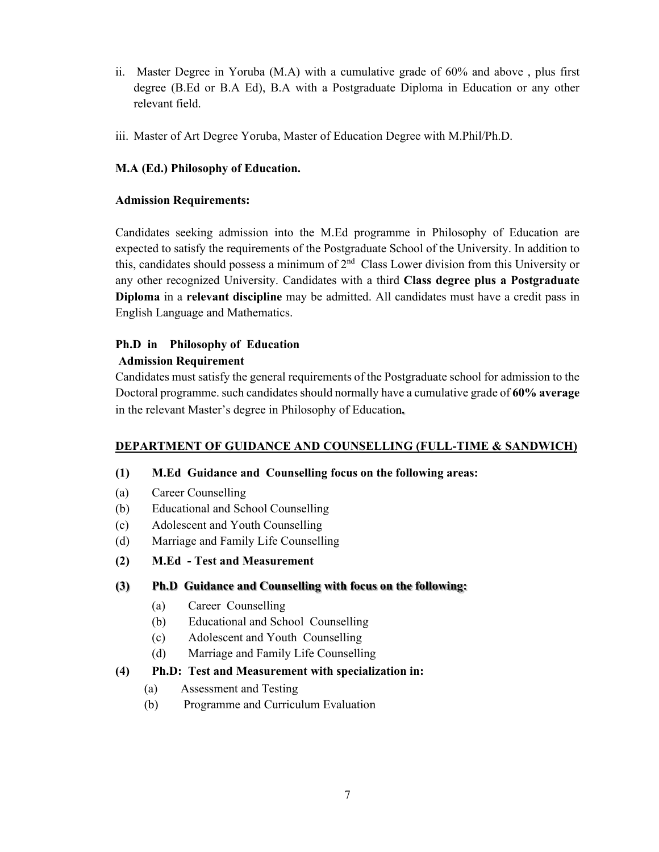- ii. Master Degree in Yoruba (M.A) with a cumulative grade of 60% and above , plus first degree (B.Ed or B.A Ed), B.A with a Postgraduate Diploma in Education or any other relevant field.
- iii. Master of Art Degree Yoruba, Master of Education Degree with M.Phil/Ph.D.

## **M.A (Ed.) Philosophy of Education.**

#### **Admission Requirements:**

Candidates seeking admission into the M.Ed programme in Philosophy of Education are expected to satisfy the requirements of the Postgraduate School of the University. In addition to this, candidates should possess a minimum of  $2<sup>nd</sup>$  Class Lower division from this University or any other recognized University. Candidates with a third **Class degree plus a Postgraduate Diploma** in a **relevant discipline** may be admitted. All candidates must have a credit pass in English Language and Mathematics.

# **Ph.D in Philosophy of Education**

## **Admission Requirement**

Candidates must satisfy the general requirements of the Postgraduate school for admission to the Doctoral programme. such candidates should normally have a cumulative grade of **60% average** in the relevant Master's degree in Philosophy of Education**.** 

## **DEPARTMENT OF GUIDANCE AND COUNSELLING (FULL-TIME & SANDWICH)**

## **(1) M.Ed Guidance and Counselling focus on the following areas:**

- (a) Career Counselling
- (b) Educational and School Counselling
- (c) Adolescent and Youth Counselling
- (d) Marriage and Family Life Counselling
- **(2) M.Ed Test and Measurement**

## **(3) Ph.D Guidance and Counselling with focus on the following:**

- (a) Career Counselling
- (b) Educational and School Counselling
- (c) Adolescent and Youth Counselling
- (d) Marriage and Family Life Counselling

## **(4) Ph.D: Test and Measurement with specialization in:**

- (a) Assessment and Testing
- (b) Programme and Curriculum Evaluation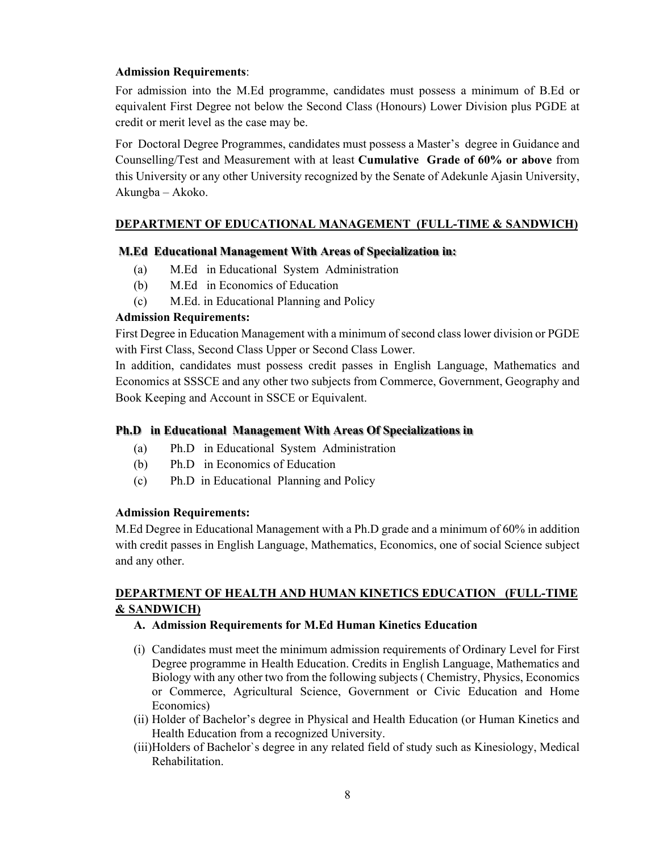For admission into the M.Ed programme, candidates must possess a minimum of B.Ed or equivalent First Degree not below the Second Class (Honours) Lower Division plus PGDE at credit or merit level as the case may be.

For Doctoral Degree Programmes, candidates must possess a Master's degree in Guidance and Counselling/Test and Measurement with at least **Cumulative Grade of 60% or above** from this University or any other University recognized by the Senate of Adekunle Ajasin University, Akungba – Akoko.

## **DEPARTMENT OF EDUCATIONAL MANAGEMENT (FULL-TIME & SANDWICH)**

#### **M.Ed Educational Management With Areas of Specialization in:**

- (a) M.Ed in Educational System Administration
- (b) M.Ed in Economics of Education
- (c) M.Ed. in Educational Planning and Policy

#### **Admission Requirements:**

First Degree in Education Management with a minimum of second class lower division or PGDE with First Class, Second Class Upper or Second Class Lower.

In addition, candidates must possess credit passes in English Language, Mathematics and Economics at SSSCE and any other two subjects from Commerce, Government, Geography and Book Keeping and Account in SSCE or Equivalent.

#### **Ph.D in Educational Management With Areas Of Specializations in**

- (a) Ph.D in Educational System Administration
- (b) Ph.D in Economics of Education
- (c) Ph.D in Educational Planning and Policy

#### **Admission Requirements:**

M.Ed Degree in Educational Management with a Ph.D grade and a minimum of 60% in addition with credit passes in English Language, Mathematics, Economics, one of social Science subject and any other.

## **DEPARTMENT OF HEALTH AND HUMAN KINETICS EDUCATION (FULL-TIME & SANDWICH)**

#### **A. Admission Requirements for M.Ed Human Kinetics Education**

- (i) Candidates must meet the minimum admission requirements of Ordinary Level for First Degree programme in Health Education. Credits in English Language, Mathematics and Biology with any other two from the following subjects ( Chemistry, Physics, Economics or Commerce, Agricultural Science, Government or Civic Education and Home Economics)
- (ii) Holder of Bachelor's degree in Physical and Health Education (or Human Kinetics and Health Education from a recognized University.
- (iii)Holders of Bachelor`s degree in any related field of study such as Kinesiology, Medical Rehabilitation.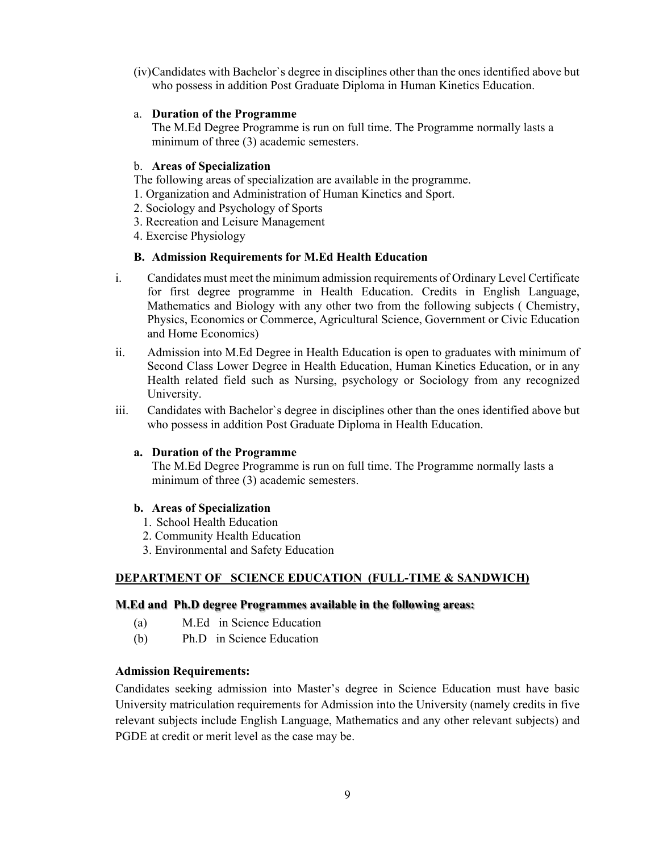(iv)Candidates with Bachelor`s degree in disciplines other than the ones identified above but who possess in addition Post Graduate Diploma in Human Kinetics Education.

#### a. **Duration of the Programme**

The M.Ed Degree Programme is run on full time. The Programme normally lasts a minimum of three (3) academic semesters.

#### b. **Areas of Specialization**

The following areas of specialization are available in the programme.

- 1. Organization and Administration of Human Kinetics and Sport.
- 2. Sociology and Psychology of Sports
- 3. Recreation and Leisure Management
- 4. Exercise Physiology

#### **B. Admission Requirements for M.Ed Health Education**

- i. Candidates must meet the minimum admission requirements of Ordinary Level Certificate for first degree programme in Health Education. Credits in English Language, Mathematics and Biology with any other two from the following subjects ( Chemistry, Physics, Economics or Commerce, Agricultural Science, Government or Civic Education and Home Economics)
- ii. Admission into M.Ed Degree in Health Education is open to graduates with minimum of Second Class Lower Degree in Health Education, Human Kinetics Education, or in any Health related field such as Nursing, psychology or Sociology from any recognized University.
- iii. Candidates with Bachelor`s degree in disciplines other than the ones identified above but who possess in addition Post Graduate Diploma in Health Education.

#### **a. Duration of the Programme**

The M.Ed Degree Programme is run on full time. The Programme normally lasts a minimum of three (3) academic semesters.

#### **b. Areas of Specialization**

- 1. School Health Education
- 2. Community Health Education
- 3. Environmental and Safety Education

#### **DEPARTMENT OF SCIENCE EDUCATION (FULL-TIME & SANDWICH)**

#### **M.Ed and Ph.D degree Programmes available in the following areas:**

- (a) M.Ed in Science Education
- (b) Ph.D in Science Education

#### **Admission Requirements:**

Candidates seeking admission into Master's degree in Science Education must have basic University matriculation requirements for Admission into the University (namely credits in five relevant subjects include English Language, Mathematics and any other relevant subjects) and PGDE at credit or merit level as the case may be.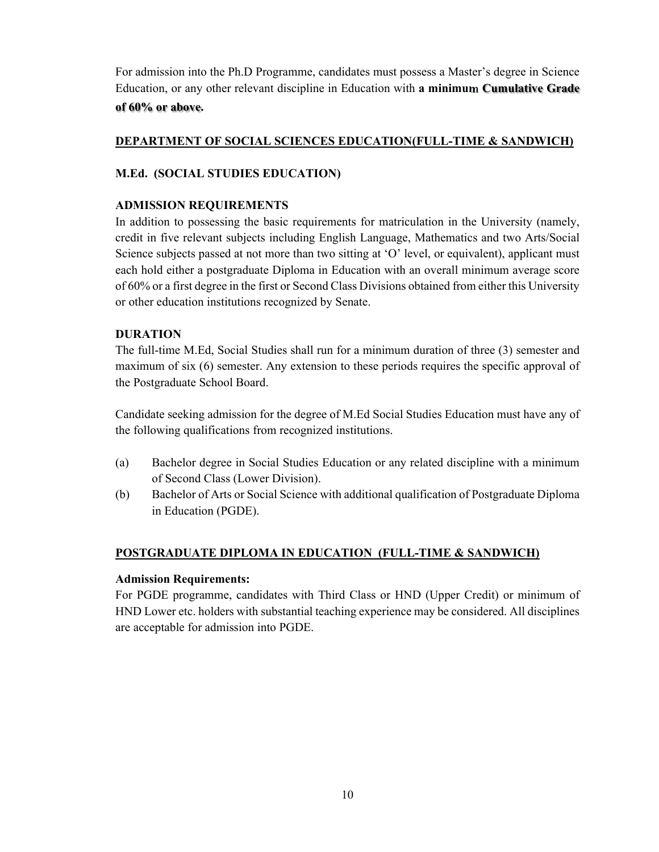For admission into the Ph.D Programme, candidates must possess a Master's degree in Science Education, or any other relevant discipline in Education with **a minimum Cumulative Grade of 60% or above.** 

## **DEPARTMENT OF SOCIAL SCIENCES EDUCATION(FULL-TIME & SANDWICH)**

## **M.Ed. (SOCIAL STUDIES EDUCATION)**

#### **ADMISSION REQUIREMENTS**

In addition to possessing the basic requirements for matriculation in the University (namely, credit in five relevant subjects including English Language, Mathematics and two Arts/Social Science subjects passed at not more than two sitting at 'O' level, or equivalent), applicant must each hold either a postgraduate Diploma in Education with an overall minimum average score of 60% or a first degree in the first or Second Class Divisions obtained from either this University or other education institutions recognized by Senate.

## **DURATION**

The full-time M.Ed, Social Studies shall run for a minimum duration of three (3) semester and maximum of six (6) semester. Any extension to these periods requires the specific approval of the Postgraduate School Board.

Candidate seeking admission for the degree of M.Ed Social Studies Education must have any of the following qualifications from recognized institutions.

- (a) Bachelor degree in Social Studies Education or any related discipline with a minimum of Second Class (Lower Division).
- (b) Bachelor of Arts or Social Science with additional qualification of Postgraduate Diploma in Education (PGDE).

## **POSTGRADUATE DIPLOMA IN EDUCATION (FULL-TIME & SANDWICH)**

#### **Admission Requirements:**

For PGDE programme, candidates with Third Class or HND (Upper Credit) or minimum of HND Lower etc. holders with substantial teaching experience may be considered. All disciplines are acceptable for admission into PGDE.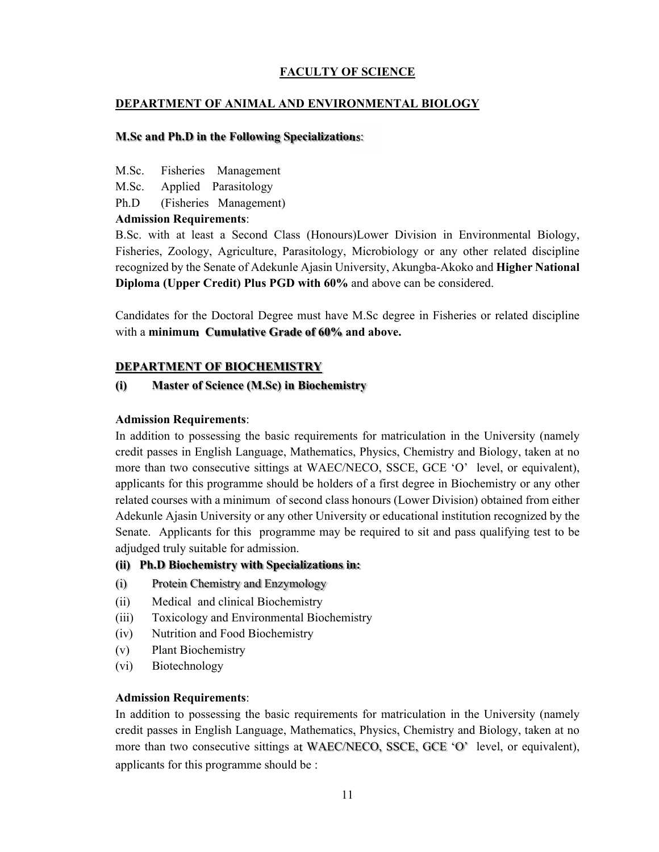## **FACULTY OF SCIENCE**

#### **DEPARTMENT OF ANIMAL AND ENVIRONMENTAL BIOLOGY**

#### **M.Sc and Ph.D in the Following Specializations**:

- M.Sc. Fisheries Management
- M.Sc. Applied Parasitology
- Ph.D (Fisheries Management)

#### **Admission Requirements**:

B.Sc. with at least a Second Class (Honours)Lower Division in Environmental Biology, Fisheries, Zoology, Agriculture, Parasitology, Microbiology or any other related discipline recognized by the Senate of Adekunle Ajasin University, Akungba-Akoko and **Higher National Diploma (Upper Credit) Plus PGD with 60%** and above can be considered.

Candidates for the Doctoral Degree must have M.Sc degree in Fisheries or related discipline with a **minimum Cumulative Grade of 60% and above.** 

## **DEPARTMENT OF BIOCHEMISTRY**

## **(i) Master of Science (M.Sc) in Biochemistry**

#### **Admission Requirements**:

In addition to possessing the basic requirements for matriculation in the University (namely credit passes in English Language, Mathematics, Physics, Chemistry and Biology, taken at no more than two consecutive sittings at WAEC/NECO, SSCE, GCE 'O' level, or equivalent), applicants for this programme should be holders of a first degree in Biochemistry or any other related courses with a minimum of second class honours (Lower Division) obtained from either Adekunle Ajasin University or any other University or educational institution recognized by the Senate. Applicants for this programme may be required to sit and pass qualifying test to be adjudged truly suitable for admission.

#### **(ii) Ph.D Biochemistry with Specializations in:**

- (i) Protein Chemistry and Enzymology
- (ii) Medical and clinical Biochemistry
- (iii) Toxicology and Environmental Biochemistry
- (iv) Nutrition and Food Biochemistry
- (v) Plant Biochemistry
- (vi) Biotechnology

#### **Admission Requirements**:

In addition to possessing the basic requirements for matriculation in the University (namely credit passes in English Language, Mathematics, Physics, Chemistry and Biology, taken at no more than two consecutive sittings at WAEC/NECO, SSCE, GCE 'O' level, or equivalent), applicants for this programme should be :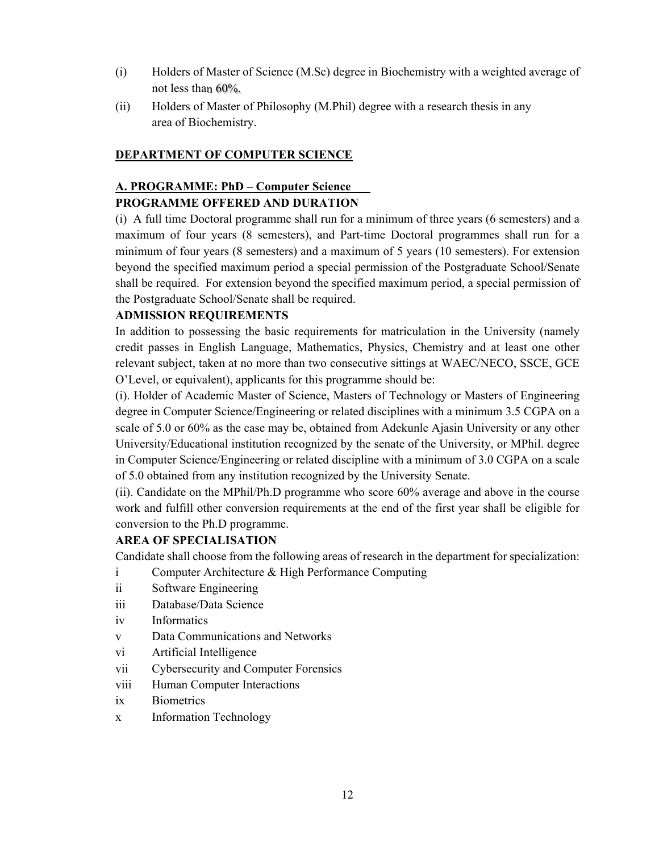- (i) Holders of Master of Science (M.Sc) degree in Biochemistry with a weighted average of not less than 60%.
- (ii) Holders of Master of Philosophy (M.Phil) degree with a research thesis in any area of Biochemistry.

#### **DEPARTMENT OF COMPUTER SCIENCE**

## **A. PROGRAMME: PhD – Computer Science**

## **PROGRAMME OFFERED AND DURATION**

(i) A full time Doctoral programme shall run for a minimum of three years (6 semesters) and a maximum of four years (8 semesters), and Part-time Doctoral programmes shall run for a minimum of four years (8 semesters) and a maximum of 5 years (10 semesters). For extension beyond the specified maximum period a special permission of the Postgraduate School/Senate shall be required. For extension beyond the specified maximum period, a special permission of the Postgraduate School/Senate shall be required.

## **ADMISSION REQUIREMENTS**

In addition to possessing the basic requirements for matriculation in the University (namely credit passes in English Language, Mathematics, Physics, Chemistry and at least one other relevant subject, taken at no more than two consecutive sittings at WAEC/NECO, SSCE, GCE O'Level, or equivalent), applicants for this programme should be:

(i). Holder of Academic Master of Science, Masters of Technology or Masters of Engineering degree in Computer Science/Engineering or related disciplines with a minimum 3.5 CGPA on a scale of 5.0 or 60% as the case may be, obtained from Adekunle Ajasin University or any other University/Educational institution recognized by the senate of the University, or MPhil. degree in Computer Science/Engineering or related discipline with a minimum of 3.0 CGPA on a scale of 5.0 obtained from any institution recognized by the University Senate.

(ii). Candidate on the MPhil/Ph.D programme who score 60% average and above in the course work and fulfill other conversion requirements at the end of the first year shall be eligible for conversion to the Ph.D programme.

#### **AREA OF SPECIALISATION**

Candidate shall choose from the following areas of research in the department for specialization:

- i Computer Architecture & High Performance Computing
- ii Software Engineering
- iii Database/Data Science
- iv Informatics
- v Data Communications and Networks
- vi Artificial Intelligence
- vii Cybersecurity and Computer Forensics
- viii Human Computer Interactions
- ix Biometrics
- x Information Technology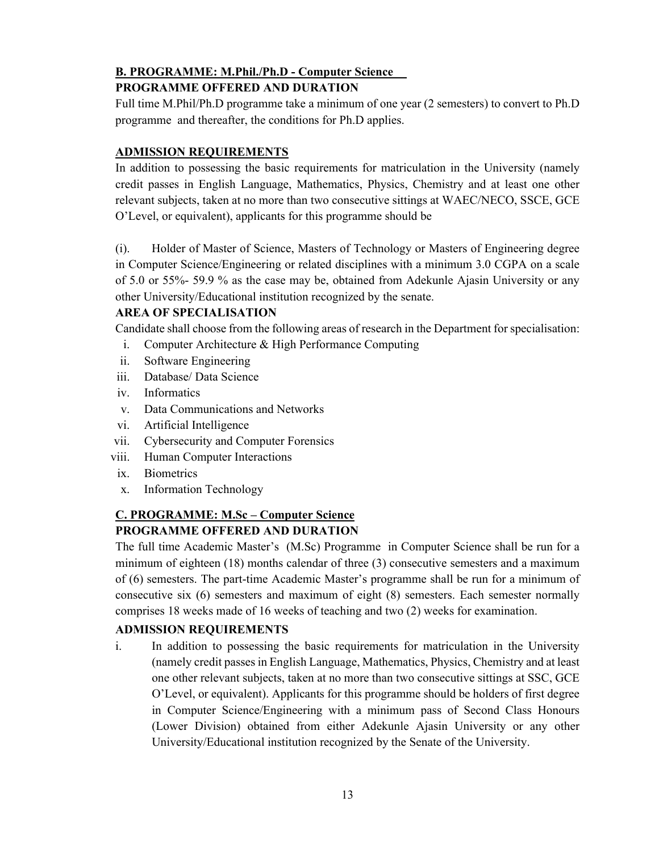## **B. PROGRAMME: M.Phil./Ph.D - Computer Science**

## **PROGRAMME OFFERED AND DURATION**

Full time M.Phil/Ph.D programme take a minimum of one year (2 semesters) to convert to Ph.D programme and thereafter, the conditions for Ph.D applies.

## **ADMISSION REQUIREMENTS**

In addition to possessing the basic requirements for matriculation in the University (namely credit passes in English Language, Mathematics, Physics, Chemistry and at least one other relevant subjects, taken at no more than two consecutive sittings at WAEC/NECO, SSCE, GCE O'Level, or equivalent), applicants for this programme should be

(i). Holder of Master of Science, Masters of Technology or Masters of Engineering degree in Computer Science/Engineering or related disciplines with a minimum 3.0 CGPA on a scale of 5.0 or 55%- 59.9 % as the case may be, obtained from Adekunle Ajasin University or any other University/Educational institution recognized by the senate.

## **AREA OF SPECIALISATION**

Candidate shall choose from the following areas of research in the Department for specialisation:

- i. Computer Architecture & High Performance Computing
- ii. Software Engineering
- iii. Database/ Data Science
- iv. Informatics
- v. Data Communications and Networks
- vi. Artificial Intelligence
- vii. Cybersecurity and Computer Forensics
- viii. Human Computer Interactions
- ix. Biometrics
- x. Information Technology

## **C. PROGRAMME: M.Sc – Computer Science PROGRAMME OFFERED AND DURATION**

The full time Academic Master's (M.Sc) Programme in Computer Science shall be run for a minimum of eighteen (18) months calendar of three (3) consecutive semesters and a maximum of (6) semesters. The part-time Academic Master's programme shall be run for a minimum of consecutive six (6) semesters and maximum of eight (8) semesters. Each semester normally comprises 18 weeks made of 16 weeks of teaching and two (2) weeks for examination.

## **ADMISSION REQUIREMENTS**

i. In addition to possessing the basic requirements for matriculation in the University (namely credit passes in English Language, Mathematics, Physics, Chemistry and at least one other relevant subjects, taken at no more than two consecutive sittings at SSC, GCE O'Level, or equivalent). Applicants for this programme should be holders of first degree in Computer Science/Engineering with a minimum pass of Second Class Honours (Lower Division) obtained from either Adekunle Ajasin University or any other University/Educational institution recognized by the Senate of the University.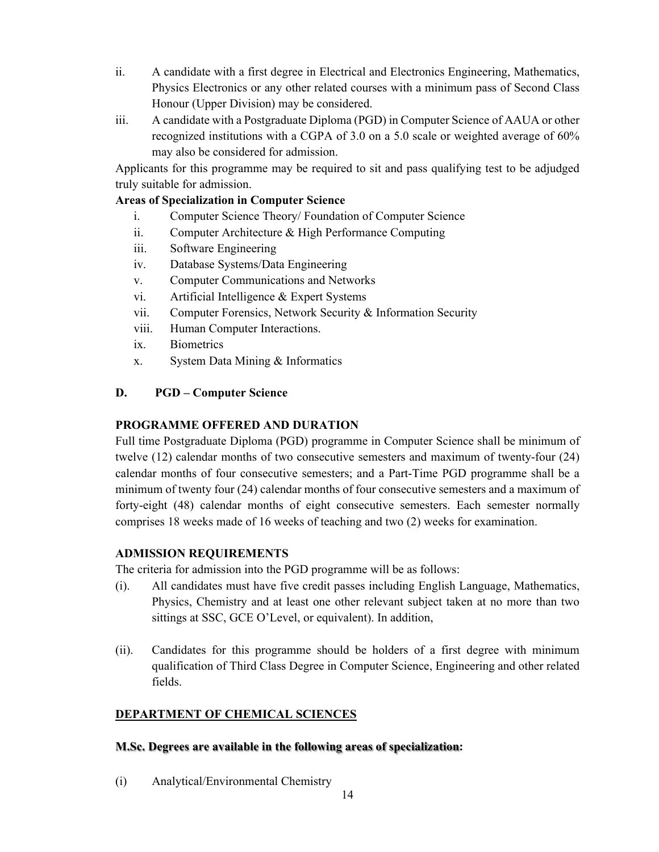- ii. A candidate with a first degree in Electrical and Electronics Engineering, Mathematics, Physics Electronics or any other related courses with a minimum pass of Second Class Honour (Upper Division) may be considered.
- iii. A candidate with a Postgraduate Diploma (PGD) in Computer Science of AAUA or other recognized institutions with a CGPA of 3.0 on a 5.0 scale or weighted average of 60% may also be considered for admission.

Applicants for this programme may be required to sit and pass qualifying test to be adjudged truly suitable for admission.

## **Areas of Specialization in Computer Science**

- i. Computer Science Theory/ Foundation of Computer Science
- ii. Computer Architecture & High Performance Computing
- iii. Software Engineering
- iv. Database Systems/Data Engineering
- v. Computer Communications and Networks
- vi. Artificial Intelligence & Expert Systems
- vii. Computer Forensics, Network Security & Information Security
- viii. Human Computer Interactions.
- ix. Biometrics
- x. System Data Mining & Informatics

## **D. PGD – Computer Science**

## **PROGRAMME OFFERED AND DURATION**

Full time Postgraduate Diploma (PGD) programme in Computer Science shall be minimum of twelve (12) calendar months of two consecutive semesters and maximum of twenty-four (24) calendar months of four consecutive semesters; and a Part-Time PGD programme shall be a minimum of twenty four (24) calendar months of four consecutive semesters and a maximum of forty-eight (48) calendar months of eight consecutive semesters. Each semester normally comprises 18 weeks made of 16 weeks of teaching and two (2) weeks for examination.

## **ADMISSION REQUIREMENTS**

The criteria for admission into the PGD programme will be as follows:

- (i). All candidates must have five credit passes including English Language, Mathematics, Physics, Chemistry and at least one other relevant subject taken at no more than two sittings at SSC, GCE O'Level, or equivalent). In addition,
- (ii). Candidates for this programme should be holders of a first degree with minimum qualification of Third Class Degree in Computer Science, Engineering and other related fields.

## **DEPARTMENT OF CHEMICAL SCIENCES**

## **M.Sc. Degrees are available in the following areas of specialization:**

(i) Analytical/Environmental Chemistry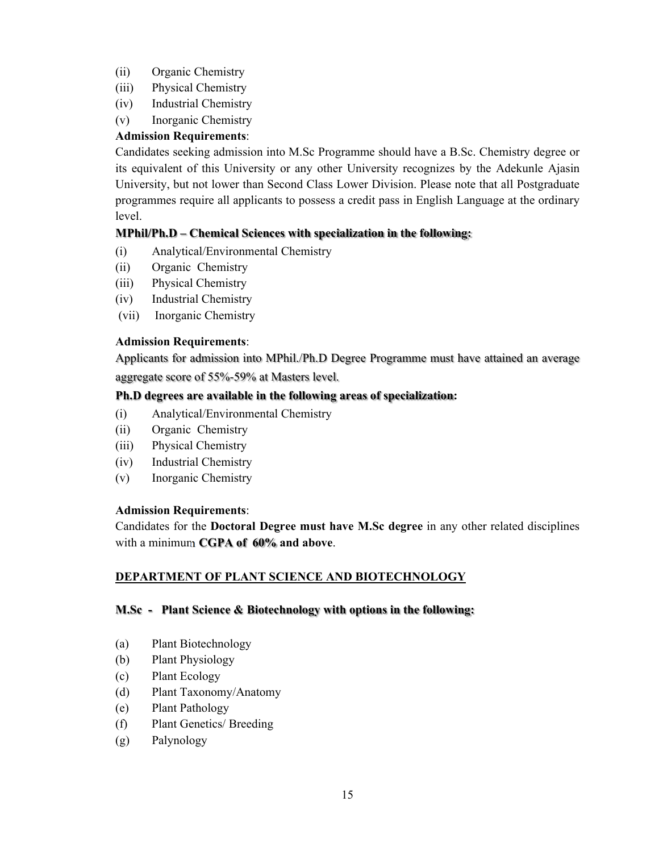- (ii) Organic Chemistry
- (iii) Physical Chemistry
- (iv) Industrial Chemistry
- (v) Inorganic Chemistry

Candidates seeking admission into M.Sc Programme should have a B.Sc. Chemistry degree or its equivalent of this University or any other University recognizes by the Adekunle Ajasin University, but not lower than Second Class Lower Division. Please note that all Postgraduate programmes require all applicants to possess a credit pass in English Language at the ordinary level.

## **MPhil/Ph.D – Chemical Sciences with specialization in the following:**

- (i) Analytical/Environmental Chemistry
- (ii) Organic Chemistry
- (iii) Physical Chemistry
- (iv) Industrial Chemistry
- (vii) Inorganic Chemistry

#### **Admission Requirements**:

Applicants for admission into MPhil./Ph.D Degree Programme must have attained an average aggregate score of 55%-59% at Masters level.

#### **Ph.D degrees are available in the following areas of specialization:**

- (i) Analytical/Environmental Chemistry
- (ii) Organic Chemistry
- (iii) Physical Chemistry
- (iv) Industrial Chemistry
- (v) Inorganic Chemistry

#### **Admission Requirements**:

Candidates for the **Doctoral Degree must have M.Sc degree** in any other related disciplines with a minimum **CGPA of 60% and above**.

## **DEPARTMENT OF PLANT SCIENCE AND BIOTECHNOLOGY**

#### **M.Sc - Plant Science & Biotechnology with options in the following:**

- (a) Plant Biotechnology
- (b) Plant Physiology
- (c) Plant Ecology
- (d) Plant Taxonomy/Anatomy
- (e) Plant Pathology
- (f) Plant Genetics/ Breeding
- (g) Palynology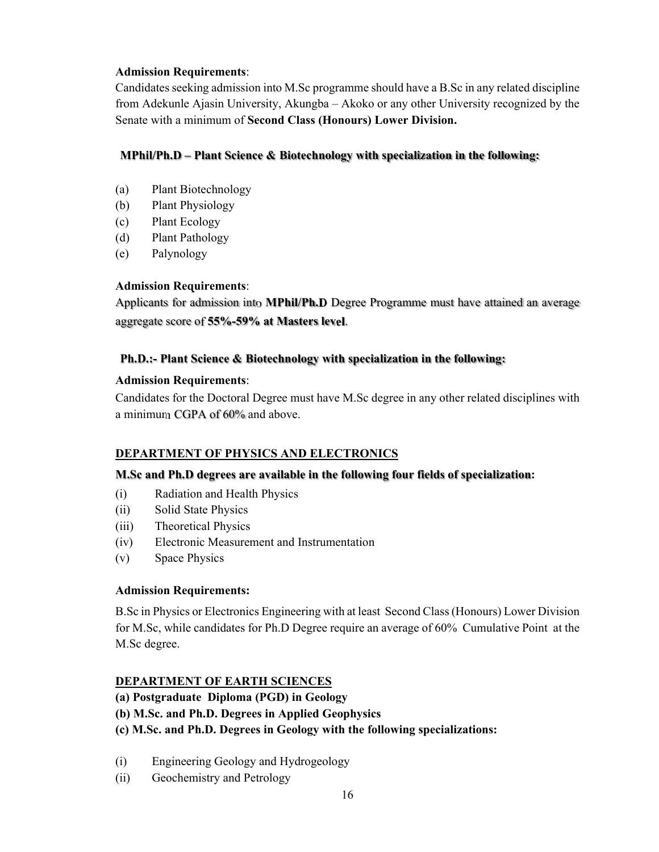Candidates seeking admission into M.Sc programme should have a B.Sc in any related discipline from Adekunle Ajasin University, Akungba – Akoko or any other University recognized by the Senate with a minimum of **Second Class (Honours) Lower Division.** 

#### **MPhil/Ph.D – Plant Science & Biotechnology with specialization in the following:**

- (a) Plant Biotechnology
- (b) Plant Physiology
- (c) Plant Ecology
- (d) Plant Pathology
- (e) Palynology

#### **Admission Requirements**:

Applicants for admission into **MPhil/Ph.D** Degree Programme must have attained an average aggregate score of **55%-59% at Masters level**.

## **Ph.D.:- Plant Science & Biotechnology with specialization in the following:**

#### **Admission Requirements**:

Candidates for the Doctoral Degree must have M.Sc degree in any other related disciplines with a minimum CGPA of 60% and above.

## **DEPARTMENT OF PHYSICS AND ELECTRONICS**

## **M.Sc and Ph.D degrees are available in the following four fields of specialization:**

- (i) Radiation and Health Physics
- (ii) Solid State Physics
- (iii) Theoretical Physics
- (iv) Electronic Measurement and Instrumentation
- (v) Space Physics

## **Admission Requirements:**

B.Sc in Physics or Electronics Engineering with at least Second Class (Honours) Lower Division for M.Sc, while candidates for Ph.D Degree require an average of 60% Cumulative Point at the M.Sc degree.

## **DEPARTMENT OF EARTH SCIENCES**

- **(a) Postgraduate Diploma (PGD) in Geology**
- **(b) M.Sc. and Ph.D. Degrees in Applied Geophysics**
- **(c) M.Sc. and Ph.D. Degrees in Geology with the following specializations:**
- (i) Engineering Geology and Hydrogeology
- (ii) Geochemistry and Petrology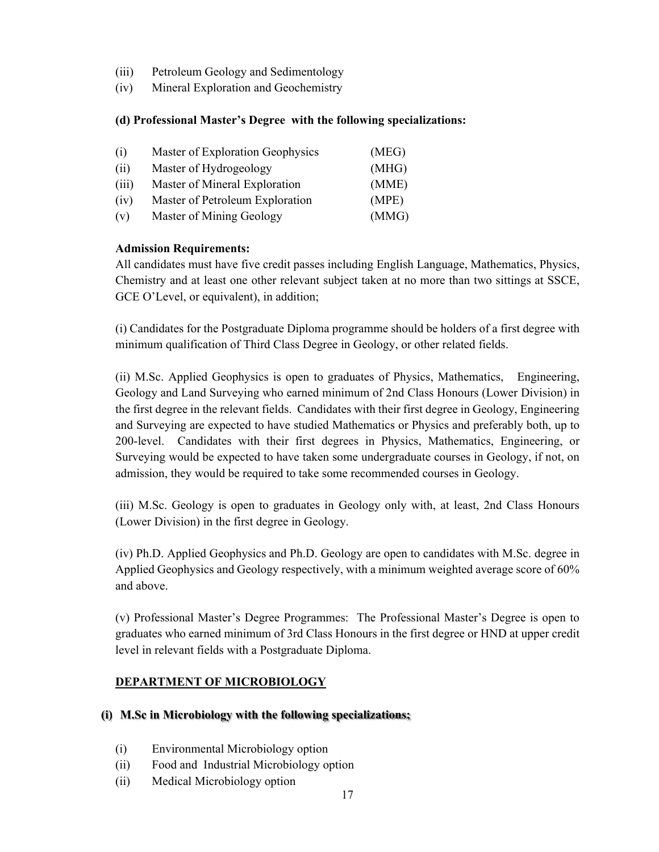- (iii) Petroleum Geology and Sedimentology
- (iv) Mineral Exploration and Geochemistry

#### **(d) Professional Master's Degree with the following specializations:**

| (i)   | Master of Exploration Geophysics | (MEG) |
|-------|----------------------------------|-------|
| (ii)  | Master of Hydrogeology           | (MHG) |
| (iii) | Master of Mineral Exploration    | (MME) |
| (iv)  | Master of Petroleum Exploration  | (MPE) |
| (v)   | Master of Mining Geology         | (MMG) |

#### **Admission Requirements:**

All candidates must have five credit passes including English Language, Mathematics, Physics, Chemistry and at least one other relevant subject taken at no more than two sittings at SSCE, GCE O'Level, or equivalent), in addition;

(i) Candidates for the Postgraduate Diploma programme should be holders of a first degree with minimum qualification of Third Class Degree in Geology, or other related fields.

(ii) M.Sc. Applied Geophysics is open to graduates of Physics, Mathematics, Engineering, Geology and Land Surveying who earned minimum of 2nd Class Honours (Lower Division) in the first degree in the relevant fields. Candidates with their first degree in Geology, Engineering and Surveying are expected to have studied Mathematics or Physics and preferably both, up to 200-level. Candidates with their first degrees in Physics, Mathematics, Engineering, or Surveying would be expected to have taken some undergraduate courses in Geology, if not, on admission, they would be required to take some recommended courses in Geology.

(iii) M.Sc. Geology is open to graduates in Geology only with, at least, 2nd Class Honours (Lower Division) in the first degree in Geology.

(iv) Ph.D. Applied Geophysics and Ph.D. Geology are open to candidates with M.Sc. degree in Applied Geophysics and Geology respectively, with a minimum weighted average score of 60% and above.

(v) Professional Master's Degree Programmes: The Professional Master's Degree is open to graduates who earned minimum of 3rd Class Honours in the first degree or HND at upper credit level in relevant fields with a Postgraduate Diploma.

## **DEPARTMENT OF MICROBIOLOGY**

#### **(i) M.Sc in Microbiology with the following specializations;**

- (i) Environmental Microbiology option
- (ii) Food and Industrial Microbiology option
- (ii) Medical Microbiology option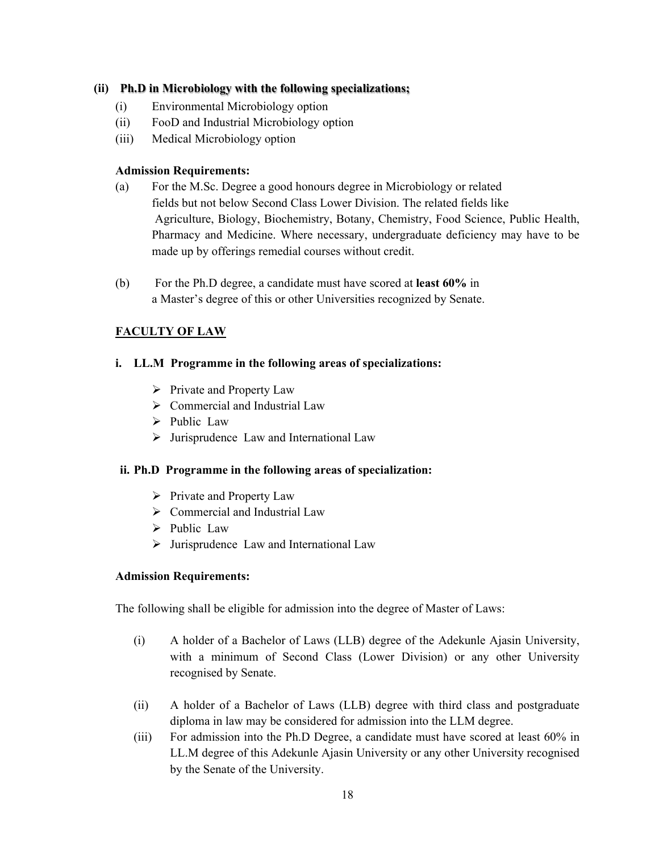## **(ii) Ph.D in Microbiology with the following specializations;**

- (i) Environmental Microbiology option
- (ii) FooD and Industrial Microbiology option
- (iii) Medical Microbiology option

## **Admission Requirements:**

- (a) For the M.Sc. Degree a good honours degree in Microbiology or related fields but not below Second Class Lower Division. The related fields like Agriculture, Biology, Biochemistry, Botany, Chemistry, Food Science, Public Health, Pharmacy and Medicine. Where necessary, undergraduate deficiency may have to be made up by offerings remedial courses without credit.
- (b) For the Ph.D degree, a candidate must have scored at **least 60%** in a Master's degree of this or other Universities recognized by Senate.

## **FACULTY OF LAW**

## **i. LL.M Programme in the following areas of specializations:**

- $\triangleright$  Private and Property Law
- $\triangleright$  Commercial and Industrial Law
- $\triangleright$  Public Law
- $\triangleright$  Jurisprudence Law and International Law

## **ii. Ph.D Programme in the following areas of specialization:**

- $\triangleright$  Private and Property Law
- $\triangleright$  Commercial and Industrial Law
- $\triangleright$  Public Law
- $\triangleright$  Jurisprudence Law and International Law

## **Admission Requirements:**

The following shall be eligible for admission into the degree of Master of Laws:

- (i) A holder of a Bachelor of Laws (LLB) degree of the Adekunle Ajasin University, with a minimum of Second Class (Lower Division) or any other University recognised by Senate.
- (ii) A holder of a Bachelor of Laws (LLB) degree with third class and postgraduate diploma in law may be considered for admission into the LLM degree.
- (iii) For admission into the Ph.D Degree, a candidate must have scored at least 60% in LL.M degree of this Adekunle Ajasin University or any other University recognised by the Senate of the University.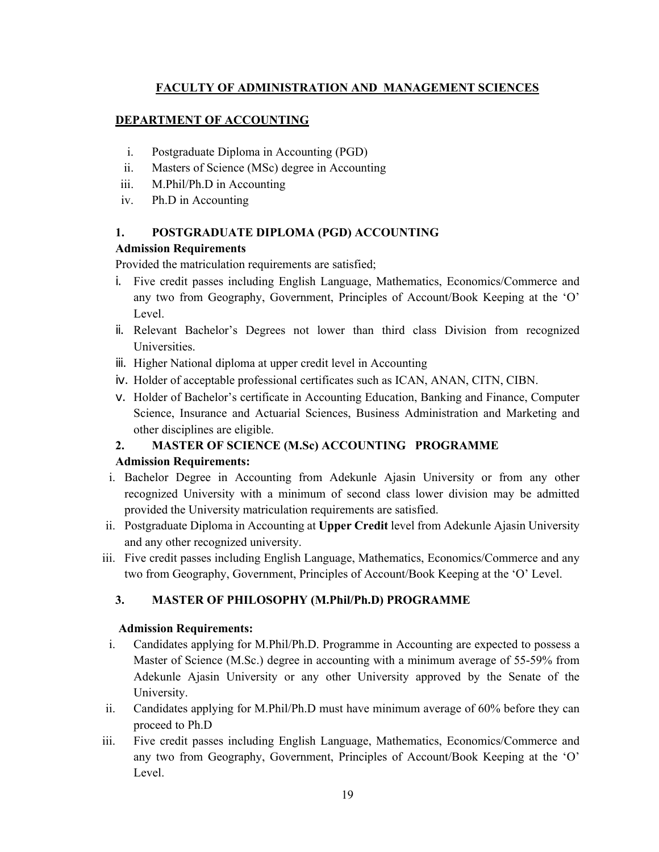## **FACULTY OF ADMINISTRATION AND MANAGEMENT SCIENCES**

#### **DEPARTMENT OF ACCOUNTING**

- i. Postgraduate Diploma in Accounting (PGD)
- ii. Masters of Science (MSc) degree in Accounting
- iii. M.Phil/Ph.D in Accounting
- iv. Ph.D in Accounting

#### **1. POSTGRADUATE DIPLOMA (PGD) ACCOUNTING**

## **Admission Requirements**

Provided the matriculation requirements are satisfied;

- i. Five credit passes including English Language, Mathematics, Economics/Commerce and any two from Geography, Government, Principles of Account/Book Keeping at the 'O' Level.
- ii. Relevant Bachelor's Degrees not lower than third class Division from recognized Universities.
- iii. Higher National diploma at upper credit level in Accounting
- iv. Holder of acceptable professional certificates such as ICAN, ANAN, CITN, CIBN.
- v. Holder of Bachelor's certificate in Accounting Education, Banking and Finance, Computer Science, Insurance and Actuarial Sciences, Business Administration and Marketing and other disciplines are eligible.

## **2. MASTER OF SCIENCE (M.Sc) ACCOUNTING PROGRAMME**

#### **Admission Requirements:**

- i. Bachelor Degree in Accounting from Adekunle Ajasin University or from any other recognized University with a minimum of second class lower division may be admitted provided the University matriculation requirements are satisfied.
- ii. Postgraduate Diploma in Accounting at **Upper Credit** level from Adekunle Ajasin University and any other recognized university.
- iii. Five credit passes including English Language, Mathematics, Economics/Commerce and any two from Geography, Government, Principles of Account/Book Keeping at the 'O' Level.

## **3. MASTER OF PHILOSOPHY (M.Phil/Ph.D) PROGRAMME**

#### **Admission Requirements:**

- i. Candidates applying for M.Phil/Ph.D. Programme in Accounting are expected to possess a Master of Science (M.Sc.) degree in accounting with a minimum average of 55-59% from Adekunle Ajasin University or any other University approved by the Senate of the University.
- ii. Candidates applying for M.Phil/Ph.D must have minimum average of 60% before they can proceed to Ph.D
- iii. Five credit passes including English Language, Mathematics, Economics/Commerce and any two from Geography, Government, Principles of Account/Book Keeping at the 'O' Level.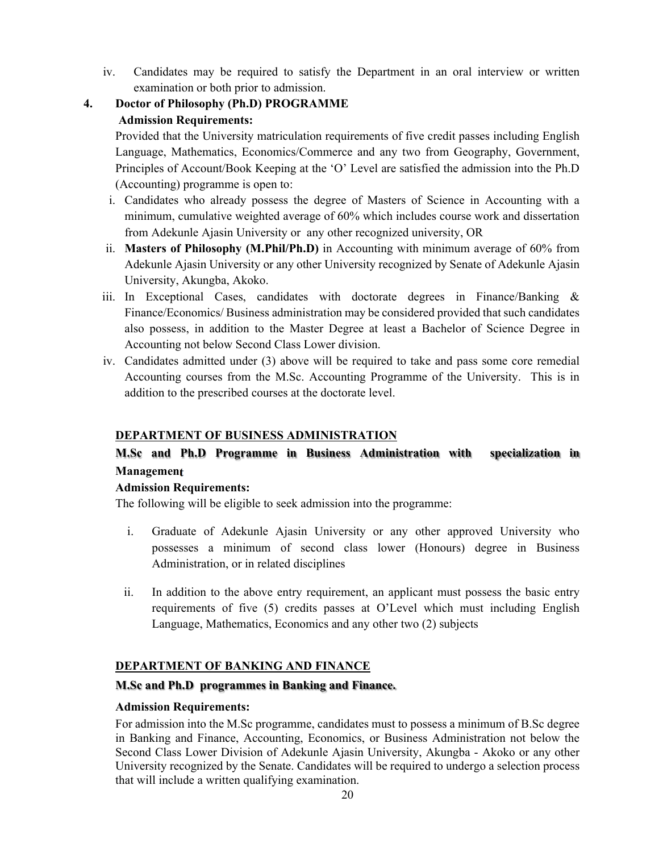- iv. Candidates may be required to satisfy the Department in an oral interview or written examination or both prior to admission.
- **4. Doctor of Philosophy (Ph.D) PROGRAMME Admission Requirements:**

Provided that the University matriculation requirements of five credit passes including English Language, Mathematics, Economics/Commerce and any two from Geography, Government, Principles of Account/Book Keeping at the 'O' Level are satisfied the admission into the Ph.D (Accounting) programme is open to:

- i. Candidates who already possess the degree of Masters of Science in Accounting with a minimum, cumulative weighted average of 60% which includes course work and dissertation from Adekunle Ajasin University or any other recognized university, OR
- ii. **Masters of Philosophy (M.Phil/Ph.D)** in Accounting with minimum average of 60% from Adekunle Ajasin University or any other University recognized by Senate of Adekunle Ajasin University, Akungba, Akoko.
- iii. In Exceptional Cases, candidates with doctorate degrees in Finance/Banking & Finance/Economics/ Business administration may be considered provided that such candidates also possess, in addition to the Master Degree at least a Bachelor of Science Degree in Accounting not below Second Class Lower division.
- iv. Candidates admitted under (3) above will be required to take and pass some core remedial Accounting courses from the M.Sc. Accounting Programme of the University. This is in addition to the prescribed courses at the doctorate level.

## **DEPARTMENT OF BUSINESS ADMINISTRATION**

## **M.Sc and Ph.D Programme in Business Administration with specialization in Management**

## **Admission Requirements:**

The following will be eligible to seek admission into the programme:

- i. Graduate of Adekunle Ajasin University or any other approved University who possesses a minimum of second class lower (Honours) degree in Business Administration, or in related disciplines
- ii. In addition to the above entry requirement, an applicant must possess the basic entry requirements of five (5) credits passes at O'Level which must including English Language, Mathematics, Economics and any other two (2) subjects

## **DEPARTMENT OF BANKING AND FINANCE**

## **M.Sc and Ph.D programmes in Banking and Finance.**

## **Admission Requirements:**

For admission into the M.Sc programme, candidates must to possess a minimum of B.Sc degree in Banking and Finance, Accounting, Economics, or Business Administration not below the Second Class Lower Division of Adekunle Ajasin University, Akungba - Akoko or any other University recognized by the Senate. Candidates will be required to undergo a selection process that will include a written qualifying examination.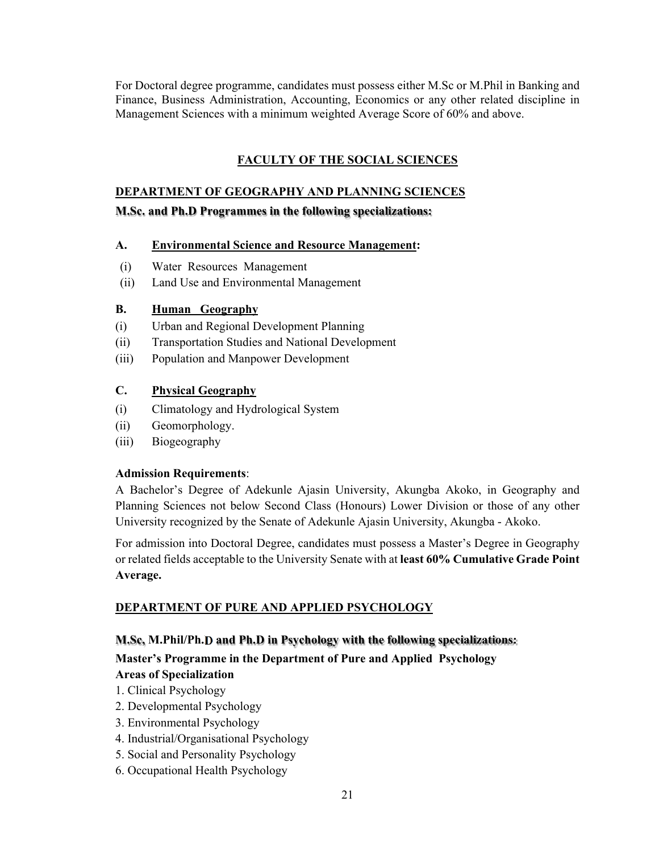For Doctoral degree programme, candidates must possess either M.Sc or M.Phil in Banking and Finance, Business Administration, Accounting, Economics or any other related discipline in Management Sciences with a minimum weighted Average Score of 60% and above.

## **FACULTY OF THE SOCIAL SCIENCES**

## **DEPARTMENT OF GEOGRAPHY AND PLANNING SCIENCES**

**M.Sc. and Ph.D Programmes in the following specializations:** 

## **A. Environmental Science and Resource Management:**

- (i) Water Resources Management
- (ii) Land Use and Environmental Management

## **B. Human Geography**

- (i) Urban and Regional Development Planning
- (ii) Transportation Studies and National Development
- (iii) Population and Manpower Development

## **C. Physical Geography**

- (i) Climatology and Hydrological System
- (ii) Geomorphology.
- (iii) Biogeography

## **Admission Requirements**:

A Bachelor's Degree of Adekunle Ajasin University, Akungba Akoko, in Geography and Planning Sciences not below Second Class (Honours) Lower Division or those of any other University recognized by the Senate of Adekunle Ajasin University, Akungba - Akoko.

For admission into Doctoral Degree, candidates must possess a Master's Degree in Geography or related fields acceptable to the University Senate with at **least 60% Cumulative Grade Point Average.** 

## **DEPARTMENT OF PURE AND APPLIED PSYCHOLOGY**

## **M.Sc, M.Phil/Ph.D and Ph.D in Psychology with the following specializations:**

**Master's Programme in the Department of Pure and Applied Psychology Areas of Specialization** 

- 1. Clinical Psychology
- 2. Developmental Psychology
- 3. Environmental Psychology
- 4. Industrial/Organisational Psychology
- 5. Social and Personality Psychology
- 6. Occupational Health Psychology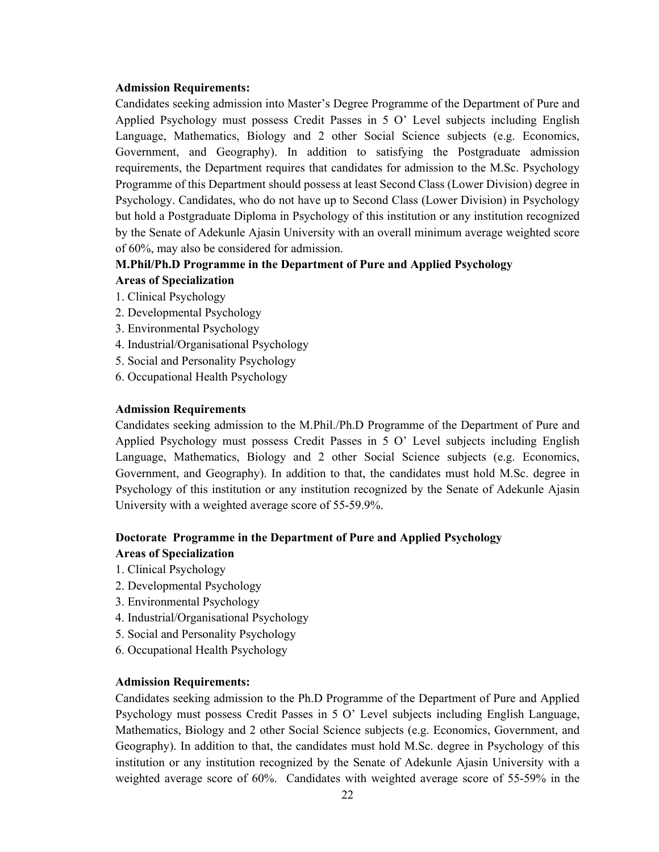Candidates seeking admission into Master's Degree Programme of the Department of Pure and Applied Psychology must possess Credit Passes in 5 O' Level subjects including English Language, Mathematics, Biology and 2 other Social Science subjects (e.g. Economics, Government, and Geography). In addition to satisfying the Postgraduate admission requirements, the Department requires that candidates for admission to the M.Sc. Psychology Programme of this Department should possess at least Second Class (Lower Division) degree in Psychology. Candidates, who do not have up to Second Class (Lower Division) in Psychology but hold a Postgraduate Diploma in Psychology of this institution or any institution recognized by the Senate of Adekunle Ajasin University with an overall minimum average weighted score of 60%, may also be considered for admission.

#### **M.Phil/Ph.D Programme in the Department of Pure and Applied Psychology**

- **Areas of Specialization**
- 1. Clinical Psychology
- 2. Developmental Psychology
- 3. Environmental Psychology
- 4. Industrial/Organisational Psychology
- 5. Social and Personality Psychology
- 6. Occupational Health Psychology

#### **Admission Requirements**

Candidates seeking admission to the M.Phil./Ph.D Programme of the Department of Pure and Applied Psychology must possess Credit Passes in 5 O' Level subjects including English Language, Mathematics, Biology and 2 other Social Science subjects (e.g. Economics, Government, and Geography). In addition to that, the candidates must hold M.Sc. degree in Psychology of this institution or any institution recognized by the Senate of Adekunle Ajasin University with a weighted average score of 55-59.9%.

## **Doctorate Programme in the Department of Pure and Applied Psychology Areas of Specialization**

- 1. Clinical Psychology
- 2. Developmental Psychology
- 3. Environmental Psychology
- 4. Industrial/Organisational Psychology
- 5. Social and Personality Psychology
- 6. Occupational Health Psychology

#### **Admission Requirements:**

Candidates seeking admission to the Ph.D Programme of the Department of Pure and Applied Psychology must possess Credit Passes in 5 O' Level subjects including English Language, Mathematics, Biology and 2 other Social Science subjects (e.g. Economics, Government, and Geography). In addition to that, the candidates must hold M.Sc. degree in Psychology of this institution or any institution recognized by the Senate of Adekunle Ajasin University with a weighted average score of 60%. Candidates with weighted average score of 55-59% in the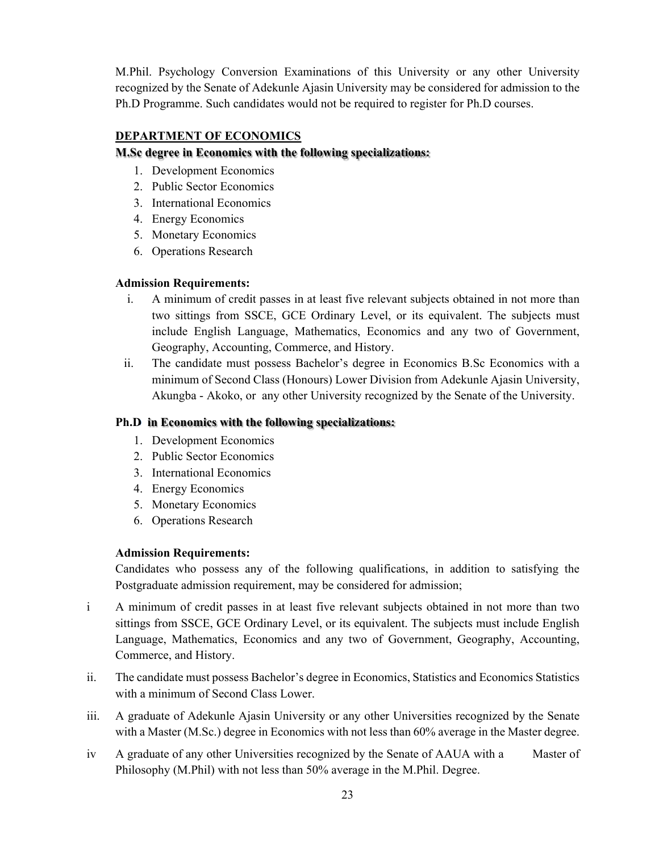M.Phil. Psychology Conversion Examinations of this University or any other University recognized by the Senate of Adekunle Ajasin University may be considered for admission to the Ph.D Programme. Such candidates would not be required to register for Ph.D courses.

## **DEPARTMENT OF ECONOMICS**

## **M.Sc degree in Economics with the following specializations:**

- 1. Development Economics
- 2. Public Sector Economics
- 3. International Economics
- 4. Energy Economics
- 5. Monetary Economics
- 6. Operations Research

## **Admission Requirements:**

- i. A minimum of credit passes in at least five relevant subjects obtained in not more than two sittings from SSCE, GCE Ordinary Level, or its equivalent. The subjects must include English Language, Mathematics, Economics and any two of Government, Geography, Accounting, Commerce, and History.
- ii. The candidate must possess Bachelor's degree in Economics B.Sc Economics with a minimum of Second Class (Honours) Lower Division from Adekunle Ajasin University, Akungba - Akoko, or any other University recognized by the Senate of the University.

## **Ph.D in Economics with the following specializations:**

- 1. Development Economics
- 2. Public Sector Economics
- 3. International Economics
- 4. Energy Economics
- 5. Monetary Economics
- 6. Operations Research

## **Admission Requirements:**

Candidates who possess any of the following qualifications, in addition to satisfying the Postgraduate admission requirement, may be considered for admission;

- i A minimum of credit passes in at least five relevant subjects obtained in not more than two sittings from SSCE, GCE Ordinary Level, or its equivalent. The subjects must include English Language, Mathematics, Economics and any two of Government, Geography, Accounting, Commerce, and History.
- ii. The candidate must possess Bachelor's degree in Economics, Statistics and Economics Statistics with a minimum of Second Class Lower.
- iii. A graduate of Adekunle Ajasin University or any other Universities recognized by the Senate with a Master (M.Sc.) degree in Economics with not less than 60% average in the Master degree.
- iv A graduate of any other Universities recognized by the Senate of AAUA with a Master of Philosophy (M.Phil) with not less than 50% average in the M.Phil. Degree.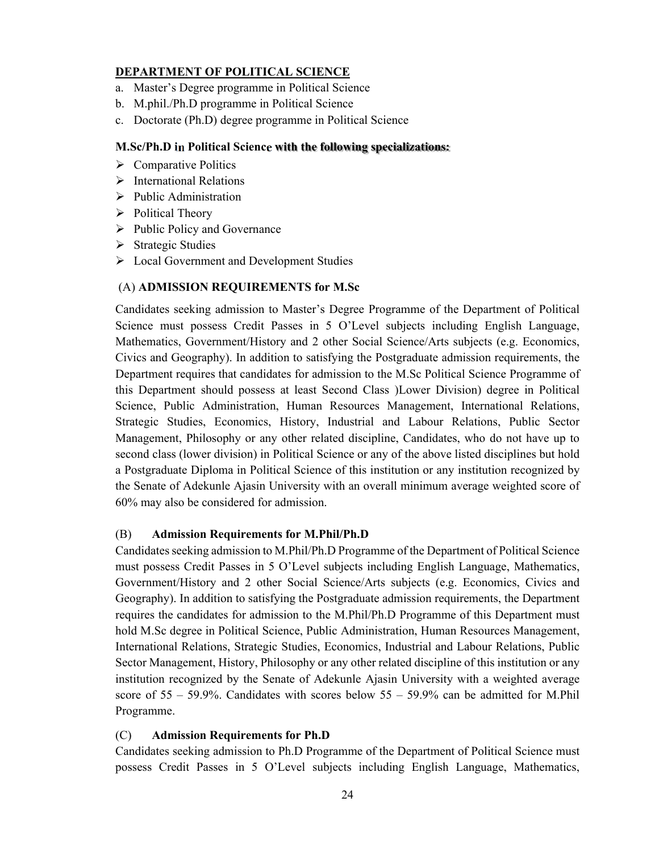#### **DEPARTMENT OF POLITICAL SCIENCE**

- a. Master's Degree programme in Political Science
- b. M.phil./Ph.D programme in Political Science
- c. Doctorate (Ph.D) degree programme in Political Science

#### **M.Sc/Ph.D in Political Science with the following specializations:**

- $\triangleright$  Comparative Politics
- $\triangleright$  International Relations
- $\triangleright$  Public Administration
- Political Theory
- $\triangleright$  Public Policy and Governance
- $\triangleright$  Strategic Studies
- Local Government and Development Studies

#### (A) **ADMISSION REQUIREMENTS for M.Sc**

Candidates seeking admission to Master's Degree Programme of the Department of Political Science must possess Credit Passes in 5 O'Level subjects including English Language, Mathematics, Government/History and 2 other Social Science/Arts subjects (e.g. Economics, Civics and Geography). In addition to satisfying the Postgraduate admission requirements, the Department requires that candidates for admission to the M.Sc Political Science Programme of this Department should possess at least Second Class )Lower Division) degree in Political Science, Public Administration, Human Resources Management, International Relations, Strategic Studies, Economics, History, Industrial and Labour Relations, Public Sector Management, Philosophy or any other related discipline, Candidates, who do not have up to second class (lower division) in Political Science or any of the above listed disciplines but hold a Postgraduate Diploma in Political Science of this institution or any institution recognized by the Senate of Adekunle Ajasin University with an overall minimum average weighted score of 60% may also be considered for admission.

#### (B) **Admission Requirements for M.Phil/Ph.D**

Candidates seeking admission to M.Phil/Ph.D Programme of the Department of Political Science must possess Credit Passes in 5 O'Level subjects including English Language, Mathematics, Government/History and 2 other Social Science/Arts subjects (e.g. Economics, Civics and Geography). In addition to satisfying the Postgraduate admission requirements, the Department requires the candidates for admission to the M.Phil/Ph.D Programme of this Department must hold M.Sc degree in Political Science, Public Administration, Human Resources Management, International Relations, Strategic Studies, Economics, Industrial and Labour Relations, Public Sector Management, History, Philosophy or any other related discipline of this institution or any institution recognized by the Senate of Adekunle Ajasin University with a weighted average score of  $55 - 59.9\%$ . Candidates with scores below  $55 - 59.9\%$  can be admitted for M.Phil Programme.

#### (C) **Admission Requirements for Ph.D**

Candidates seeking admission to Ph.D Programme of the Department of Political Science must possess Credit Passes in 5 O'Level subjects including English Language, Mathematics,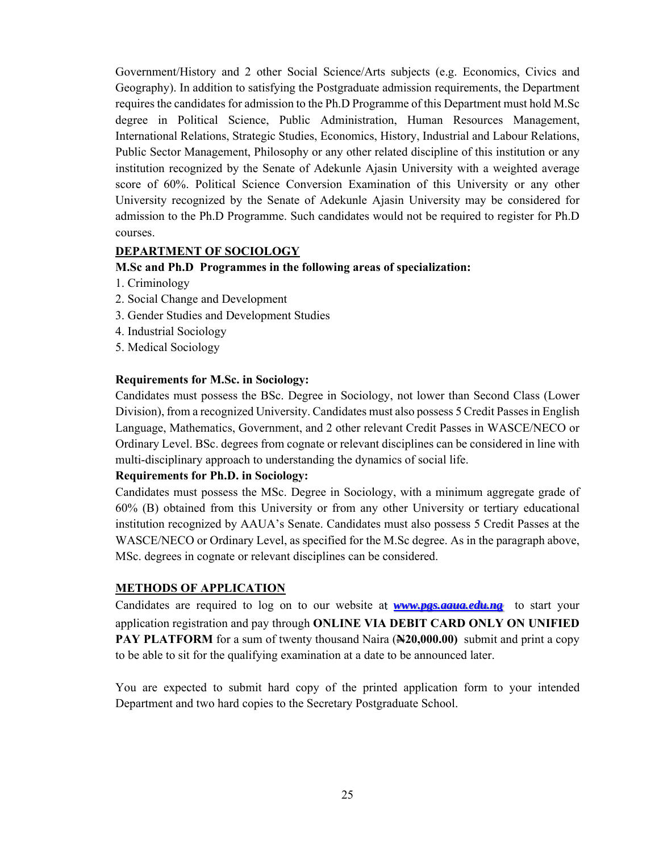Government/History and 2 other Social Science/Arts subjects (e.g. Economics, Civics and Geography). In addition to satisfying the Postgraduate admission requirements, the Department requires the candidates for admission to the Ph.D Programme of this Department must hold M.Sc degree in Political Science, Public Administration, Human Resources Management, International Relations, Strategic Studies, Economics, History, Industrial and Labour Relations, Public Sector Management, Philosophy or any other related discipline of this institution or any institution recognized by the Senate of Adekunle Ajasin University with a weighted average score of 60%. Political Science Conversion Examination of this University or any other University recognized by the Senate of Adekunle Ajasin University may be considered for admission to the Ph.D Programme. Such candidates would not be required to register for Ph.D courses.

#### **DEPARTMENT OF SOCIOLOGY**

#### **M.Sc and Ph.D Programmes in the following areas of specialization:**

- 1. Criminology
- 2. Social Change and Development
- 3. Gender Studies and Development Studies
- 4. Industrial Sociology
- 5. Medical Sociology

#### **Requirements for M.Sc. in Sociology:**

Candidates must possess the BSc. Degree in Sociology, not lower than Second Class (Lower Division), from a recognized University. Candidates must also possess 5 Credit Passes in English Language, Mathematics, Government, and 2 other relevant Credit Passes in WASCE/NECO or Ordinary Level. BSc. degrees from cognate or relevant disciplines can be considered in line with multi-disciplinary approach to understanding the dynamics of social life.

## **Requirements for Ph.D. in Sociology:**

Candidates must possess the MSc. Degree in Sociology, with a minimum aggregate grade of 60% (B) obtained from this University or from any other University or tertiary educational institution recognized by AAUA's Senate. Candidates must also possess 5 Credit Passes at the WASCE/NECO or Ordinary Level, as specified for the M.Sc degree. As in the paragraph above, MSc. degrees in cognate or relevant disciplines can be considered.

## **METHODS OF APPLICATION**

Candidates are required to log on to our website at *www.pgs.aaua.edu.ng* to start your application registration and pay through **ONLINE VIA DEBIT CARD ONLY ON UNIFIED PAY PLATFORM** for a sum of twenty thousand Naira (**N20,000.00)** submit and print a copy to be able to sit for the qualifying examination at a date to be announced later.

You are expected to submit hard copy of the printed application form to your intended Department and two hard copies to the Secretary Postgraduate School.